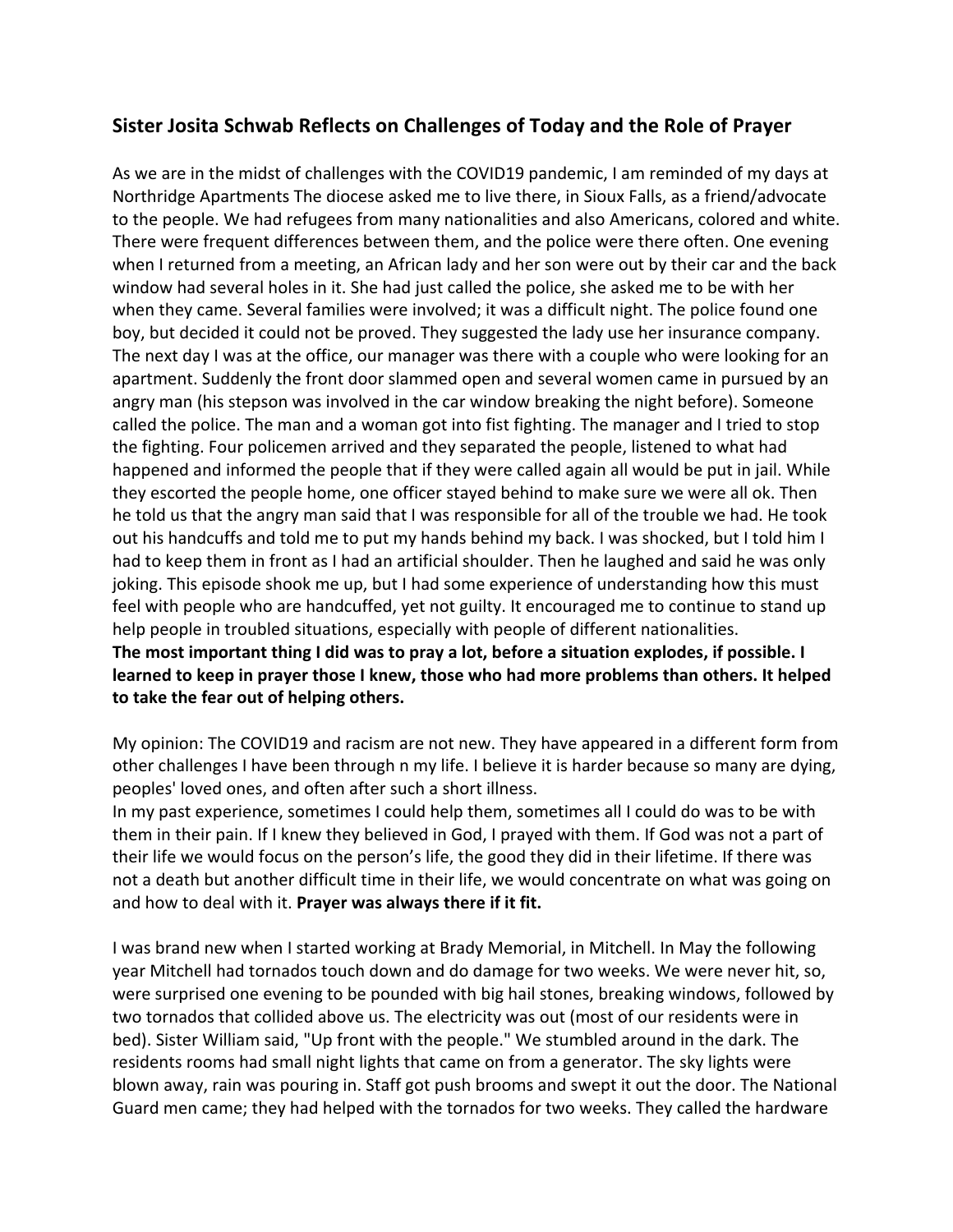## **Sister Josita Schwab Reflects on Challenges of Today and the Role of Prayer**

As we are in the midst of challenges with the COVID19 pandemic, I am reminded of my days at Northridge Apartments The diocese asked me to live there, in Sioux Falls, as a friend/advocate to the people. We had refugees from many nationalities and also Americans, colored and white. There were frequent differences between them, and the police were there often. One evening when I returned from a meeting, an African lady and her son were out by their car and the back window had several holes in it. She had just called the police, she asked me to be with her when they came. Several families were involved; it was a difficult night. The police found one boy, but decided it could not be proved. They suggested the lady use her insurance company. The next day I was at the office, our manager was there with a couple who were looking for an apartment. Suddenly the front door slammed open and several women came in pursued by an angry man (his stepson was involved in the car window breaking the night before). Someone called the police. The man and a woman got into fist fighting. The manager and I tried to stop the fighting. Four policemen arrived and they separated the people, listened to what had happened and informed the people that if they were called again all would be put in jail. While they escorted the people home, one officer stayed behind to make sure we were all ok. Then he told us that the angry man said that I was responsible for all of the trouble we had. He took out his handcuffs and told me to put my hands behind my back. I was shocked, but I told him I had to keep them in front as I had an artificial shoulder. Then he laughed and said he was only joking. This episode shook me up, but I had some experience of understanding how this must feel with people who are handcuffed, yet not guilty. It encouraged me to continue to stand up help people in troubled situations, especially with people of different nationalities. **The most important thing I did was to pray a lot, before a situation explodes, if possible. I learned to keep in prayer those I knew, those who had more problems than others. It helped to take the fear out of helping others.**

My opinion: The COVID19 and racism are not new. They have appeared in a different form from other challenges I have been through n my life. I believe it is harder because so many are dying, peoples' loved ones, and often after such a short illness.

In my past experience, sometimes I could help them, sometimes all I could do was to be with them in their pain. If I knew they believed in God, I prayed with them. If God was not a part of their life we would focus on the person's life, the good they did in their lifetime. If there was not a death but another difficult time in their life, we would concentrate on what was going on and how to deal with it. **Prayer was always there if it fit.**

I was brand new when I started working at Brady Memorial, in Mitchell. In May the following year Mitchell had tornados touch down and do damage for two weeks. We were never hit, so, were surprised one evening to be pounded with big hail stones, breaking windows, followed by two tornados that collided above us. The electricity was out (most of our residents were in bed). Sister William said, "Up front with the people." We stumbled around in the dark. The residents rooms had small night lights that came on from a generator. The sky lights were blown away, rain was pouring in. Staff got push brooms and swept it out the door. The National Guard men came; they had helped with the tornados for two weeks. They called the hardware